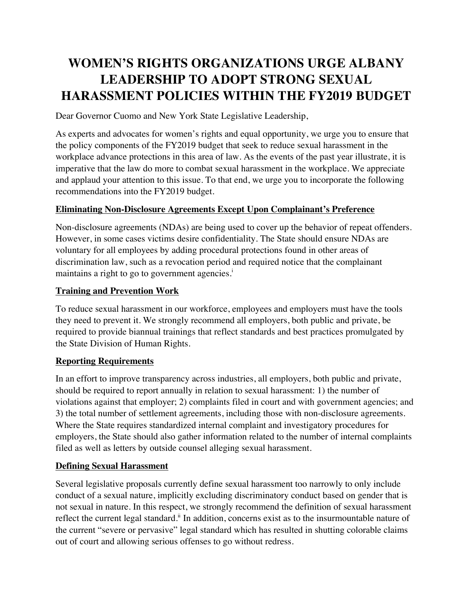# **WOMEN'S RIGHTS ORGANIZATIONS URGE ALBANY LEADERSHIP TO ADOPT STRONG SEXUAL HARASSMENT POLICIES WITHIN THE FY2019 BUDGET**

Dear Governor Cuomo and New York State Legislative Leadership,

As experts and advocates for women's rights and equal opportunity, we urge you to ensure that the policy components of the FY2019 budget that seek to reduce sexual harassment in the workplace advance protections in this area of law. As the events of the past year illustrate, it is imperative that the law do more to combat sexual harassment in the workplace. We appreciate and applaud your attention to this issue. To that end, we urge you to incorporate the following recommendations into the FY2019 budget.

# **Eliminating Non-Disclosure Agreements Except Upon Complainant's Preference**

Non-disclosure agreements (NDAs) are being used to cover up the behavior of repeat offenders. However, in some cases victims desire confidentiality. The State should ensure NDAs are voluntary for all employees by adding procedural protections found in other areas of discrimination law, such as a revocation period and required notice that the complainant maintains a right to go to government agencies.<sup>1</sup>

# **Training and Prevention Work**

To reduce sexual harassment in our workforce, employees and employers must have the tools they need to prevent it. We strongly recommend all employers, both public and private, be required to provide biannual trainings that reflect standards and best practices promulgated by the State Division of Human Rights.

# **Reporting Requirements**

In an effort to improve transparency across industries, all employers, both public and private, should be required to report annually in relation to sexual harassment: 1) the number of violations against that employer; 2) complaints filed in court and with government agencies; and 3) the total number of settlement agreements, including those with non-disclosure agreements. Where the State requires standardized internal complaint and investigatory procedures for employers, the State should also gather information related to the number of internal complaints filed as well as letters by outside counsel alleging sexual harassment.

#### **Defining Sexual Harassment**

Several legislative proposals currently define sexual harassment too narrowly to only include conduct of a sexual nature, implicitly excluding discriminatory conduct based on gender that is not sexual in nature. In this respect, we strongly recommend the definition of sexual harassment reflect the current legal standard.<sup>ii</sup> In addition, concerns exist as to the insurmountable nature of the current "severe or pervasive" legal standard which has resulted in shutting colorable claims out of court and allowing serious offenses to go without redress.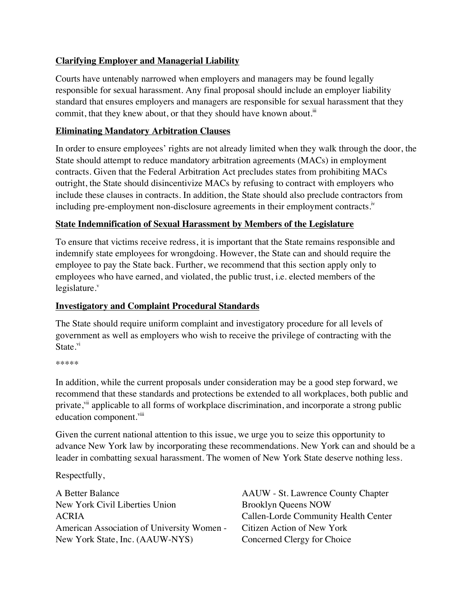# **Clarifying Employer and Managerial Liability**

Courts have untenably narrowed when employers and managers may be found legally responsible for sexual harassment. Any final proposal should include an employer liability standard that ensures employers and managers are responsible for sexual harassment that they commit, that they knew about, or that they should have known about. $\ddot{u}$ 

#### **Eliminating Mandatory Arbitration Clauses**

In order to ensure employees' rights are not already limited when they walk through the door, the State should attempt to reduce mandatory arbitration agreements (MACs) in employment contracts. Given that the Federal Arbitration Act precludes states from prohibiting MACs outright, the State should disincentivize MACs by refusing to contract with employers who include these clauses in contracts. In addition, the State should also preclude contractors from including pre-employment non-disclosure agreements in their employment contracts.<sup>iv</sup>

#### **State Indemnification of Sexual Harassment by Members of the Legislature**

To ensure that victims receive redress, it is important that the State remains responsible and indemnify state employees for wrongdoing. However, the State can and should require the employee to pay the State back. Further, we recommend that this section apply only to employees who have earned, and violated, the public trust, i.e. elected members of the legislature. $v$ 

# **Investigatory and Complaint Procedural Standards**

The State should require uniform complaint and investigatory procedure for all levels of government as well as employers who wish to receive the privilege of contracting with the State.<sup>vi</sup>

\*\*\*\*\*

In addition, while the current proposals under consideration may be a good step forward, we recommend that these standards and protections be extended to all workplaces, both public and private,  $v$ <sup>ii</sup> applicable to all forms of workplace discrimination, and incorporate a strong public education component.<sup>viii</sup>

Given the current national attention to this issue, we urge you to seize this opportunity to advance New York law by incorporating these recommendations. New York can and should be a leader in combatting sexual harassment. The women of New York State deserve nothing less.

Respectfully,

A Better Balance New York Civil Liberties Union ACRIA American Association of University Women - New York State, Inc. (AAUW-NYS)

AAUW - St. Lawrence County Chapter Brooklyn Queens NOW Callen-Lorde Community Health Center Citizen Action of New York Concerned Clergy for Choice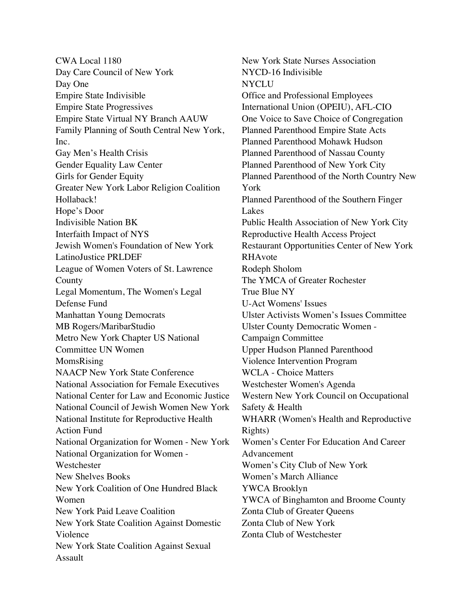CWA Local 1180 Day Care Council of New York Day One Empire State Indivisible Empire State Progressives Empire State Virtual NY Branch AAUW Family Planning of South Central New York, Inc. Gay Men's Health Crisis Gender Equality Law Center Girls for Gender Equity Greater New York Labor Religion Coalition Hollaback! Hope's Door Indivisible Nation BK Interfaith Impact of NYS Jewish Women's Foundation of New York LatinoJustice PRLDEF League of Women Voters of St. Lawrence County Legal Momentum, The Women's Legal Defense Fund Manhattan Young Democrats MB Rogers/MaribarStudio Metro New York Chapter US National Committee UN Women MomsRising NAACP New York State Conference National Association for Female Executives National Center for Law and Economic Justice National Council of Jewish Women New York National Institute for Reproductive Health Action Fund National Organization for Women - New York National Organization for Women - **Westchester** New Shelves Books New York Coalition of One Hundred Black Women New York Paid Leave Coalition New York State Coalition Against Domestic Violence New York State Coalition Against Sexual Assault

New York State Nurses Association NYCD-16 Indivisible NYCLU Office and Professional Employees International Union (OPEIU), AFL-CIO One Voice to Save Choice of Congregation Planned Parenthood Empire State Acts Planned Parenthood Mohawk Hudson Planned Parenthood of Nassau County Planned Parenthood of New York City Planned Parenthood of the North Country New York Planned Parenthood of the Southern Finger Lakes Public Health Association of New York City Reproductive Health Access Project Restaurant Opportunities Center of New York RHAvote Rodeph Sholom The YMCA of Greater Rochester True Blue NY U-Act Womens' Issues Ulster Activists Women's Issues Committee Ulster County Democratic Women - Campaign Committee Upper Hudson Planned Parenthood Violence Intervention Program WCLA - Choice Matters Westchester Women's Agenda Western New York Council on Occupational Safety & Health WHARR (Women's Health and Reproductive Rights) Women's Center For Education And Career Advancement Women's City Club of New York Women's March Alliance YWCA Brooklyn YWCA of Binghamton and Broome County Zonta Club of Greater Queens Zonta Club of New York Zonta Club of Westchester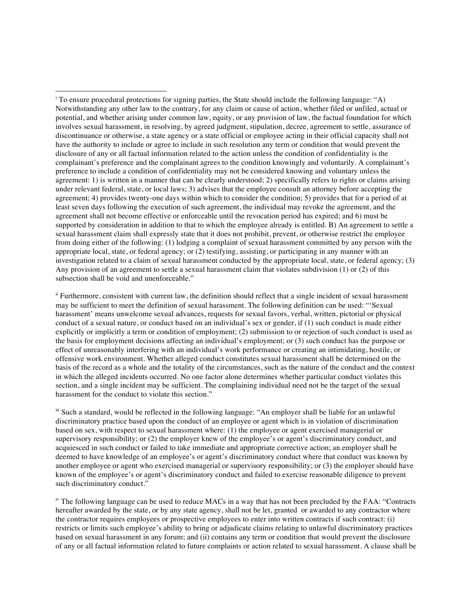ii Furthermore, consistent with current law, the definition should reflect that a single incident of sexual harassment may be sufficient to meet the definition of sexual harassment. The following definition can be used: "'Sexual harassment' means unwelcome sexual advances, requests for sexual favors, verbal, written, pictorial or physical conduct of a sexual nature, or conduct based on an individual's sex or gender, if (1) such conduct is made either explicitly or implicitly a term or condition of employment; (2) submission to or rejection of such conduct is used as the basis for employment decisions affecting an individual's employment; or (3) such conduct has the purpose or effect of unreasonably interfering with an individual's work performance or creating an intimidating, hostile, or offensive work environment. Whether alleged conduct constitutes sexual harassment shall be determined on the basis of the record as a whole and the totality of the circumstances, such as the nature of the conduct and the context in which the alleged incidents occurred. No one factor alone determines whether particular conduct violates this section, and a single incident may be sufficient. The complaining individual need not be the target of the sexual harassment for the conduct to violate this section."

iii Such a standard, would be reflected in the following language: "An employer shall be liable for an unlawful discriminatory practice based upon the conduct of an employee or agent which is in violation of discrimination based on sex, with respect to sexual harassment where: (1) the employee or agent exercised managerial or supervisory responsibility; or (2) the employer knew of the employee's or agent's discriminatory conduct, and acquiesced in such conduct or failed to take immediate and appropriate corrective action; an employer shall be deemed to have knowledge of an employee's or agent's discriminatory conduct where that conduct was known by another employee or agent who exercised managerial or supervisory responsibility; or (3) the employer should have known of the employee's or agent's discriminatory conduct and failed to exercise reasonable diligence to prevent such discriminatory conduct."

<sup>iv</sup> The following language can be used to reduce MACs in a way that has not been precluded by the FAA: "Contracts" hereafter awarded by the state, or by any state agency, shall not be let, granted or awarded to any contractor where the contractor requires employees or prospective employees to enter into written contracts if such contract: (i) restricts or limits such employee's ability to bring or adjudicate claims relating to unlawful discriminatory practices based on sexual harassment in any forum; and (ii) contains any term or condition that would prevent the disclosure of any or all factual information related to future complaints or action related to sexual harassment. A clause shall be

<sup>&</sup>lt;sup>i</sup> To ensure procedural protections for signing parties, the State should include the following language: "A) Notwithstanding any other law to the contrary, for any claim or cause of action, whether filed or unfiled, actual or potential, and whether arising under common law, equity, or any provision of law, the factual foundation for which involves sexual harassment, in resolving, by agreed judgment, stipulation, decree, agreement to settle, assurance of discontinuance or otherwise, a state agency or a state official or employee acting in their official capacity shall not have the authority to include or agree to include in such resolution any term or condition that would prevent the disclosure of any or all factual information related to the action unless the condition of confidentiality is the complainant's preference and the complainant agrees to the condition knowingly and voluntarily. A complainant's preference to include a condition of confidentiality may not be considered knowing and voluntary unless the agreement: 1) is written in a manner that can be clearly understood; 2) specifically refers to rights or claims arising under relevant federal, state, or local laws; 3) advises that the employee consult an attorney before accepting the agreement; 4) provides twenty-one days within which to consider the condition; 5) provides that for a period of at least seven days following the execution of such agreement, the individual may revoke the agreement, and the agreement shall not become effective or enforceable until the revocation period has expired; and 6) must be supported by consideration in addition to that to which the employee already is entitled. B) An agreement to settle a sexual harassment claim shall expressly state that it does not prohibit, prevent, or otherwise restrict the employee from doing either of the following: (1) lodging a complaint of sexual harassment committed by any person with the appropriate local, state, or federal agency; or (2) testifying, assisting, or participating in any manner with an investigation related to a claim of sexual harassment conducted by the appropriate local, state, or federal agency; (3) Any provision of an agreement to settle a sexual harassment claim that violates subdivision (1) or (2) of this subsection shall be void and unenforceable."